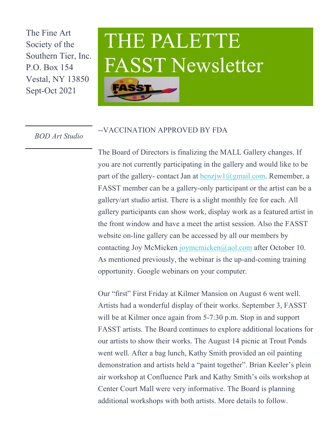The Fine Art Society of the Southern Tier, Inc. P.O. Box 154 Vestal, NY 13850 Sept-Oct 2021

## THE PALETTE FASST Newsletter



*BOD Art Studio* --VACCINATION APPROVED BY FDA

The Board of Directors is finalizing the MALL Gallery changes. If you are not currently participating in the gallery and would like to be part of the gallery- contact Jan at  $\frac{\text{benz}^{\text{iv}}}{a}$  and  $\frac{\text{com. Remember}}{\text{com.}}$  a FASST member can be a gallery-only participant or the artist can be a gallery/art studio artist. There is a slight monthly fee for each. All gallery participants can show work, display work as a featured artist in the front window and have a meet the artist session. Also the FASST website on-line gallery can be accessed by all our members by contacting Joy McMicken joymcmicken@aol.com after October 10. As mentioned previously, the webinar is the up-and-coming training opportunity. Google webinars on your computer.

Our "first" First Friday at Kilmer Mansion on August 6 went well. Artists had a wonderful display of their works. September 3, FASST will be at Kilmer once again from 5-7:30 p.m. Stop in and support FASST artists. The Board continues to explore additional locations for our artists to show their works. The August 14 picnic at Trout Ponds went well. After a bag lunch, Kathy Smith provided an oil painting demonstration and artists held a "paint together". Brian Keeler's plein air workshop at Confluence Park and Kathy Smith's oils workshop at Center Court Mall were very informative. The Board is planning additional workshops with both artists. More details to follow.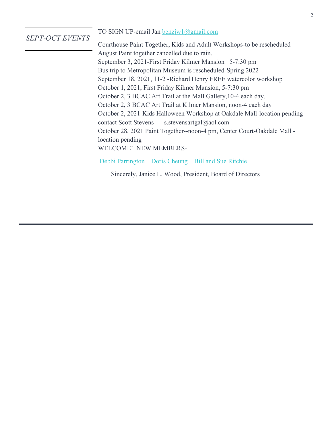## *SEPT-OCT EVENTS*

## TO SIGN UP-email Jan **benzjw1@gmail.com**

Courthouse Paint Together, Kids and Adult Workshops-to be rescheduled August Paint together cancelled due to rain. September 3, 2021-First Friday Kilmer Mansion 5-7:30 pm Bus trip to Metropolitan Museum is rescheduled-Spring 2022 September 18, 2021, 11-2 -Richard Henry FREE watercolor workshop October 1, 2021, First Friday Kilmer Mansion, 5-7:30 pm October 2, 3 BCAC Art Trail at the Mall Gallery,10-4 each day. October 2, 3 BCAC Art Trail at Kilmer Mansion, noon-4 each day October 2, 2021-Kids Halloween Workshop at Oakdale Mall-location pendingcontact Scott Stevens - s.stevensartgal@aol.com October 28, 2021 Paint Together--noon-4 pm, Center Court-Oakdale Mall location pending WELCOME! NEW MEMBERS-

Debbi Parrington Doris Cheung Bill and Sue Ritchie

Sincerely, Janice L. Wood, President, Board of Directors